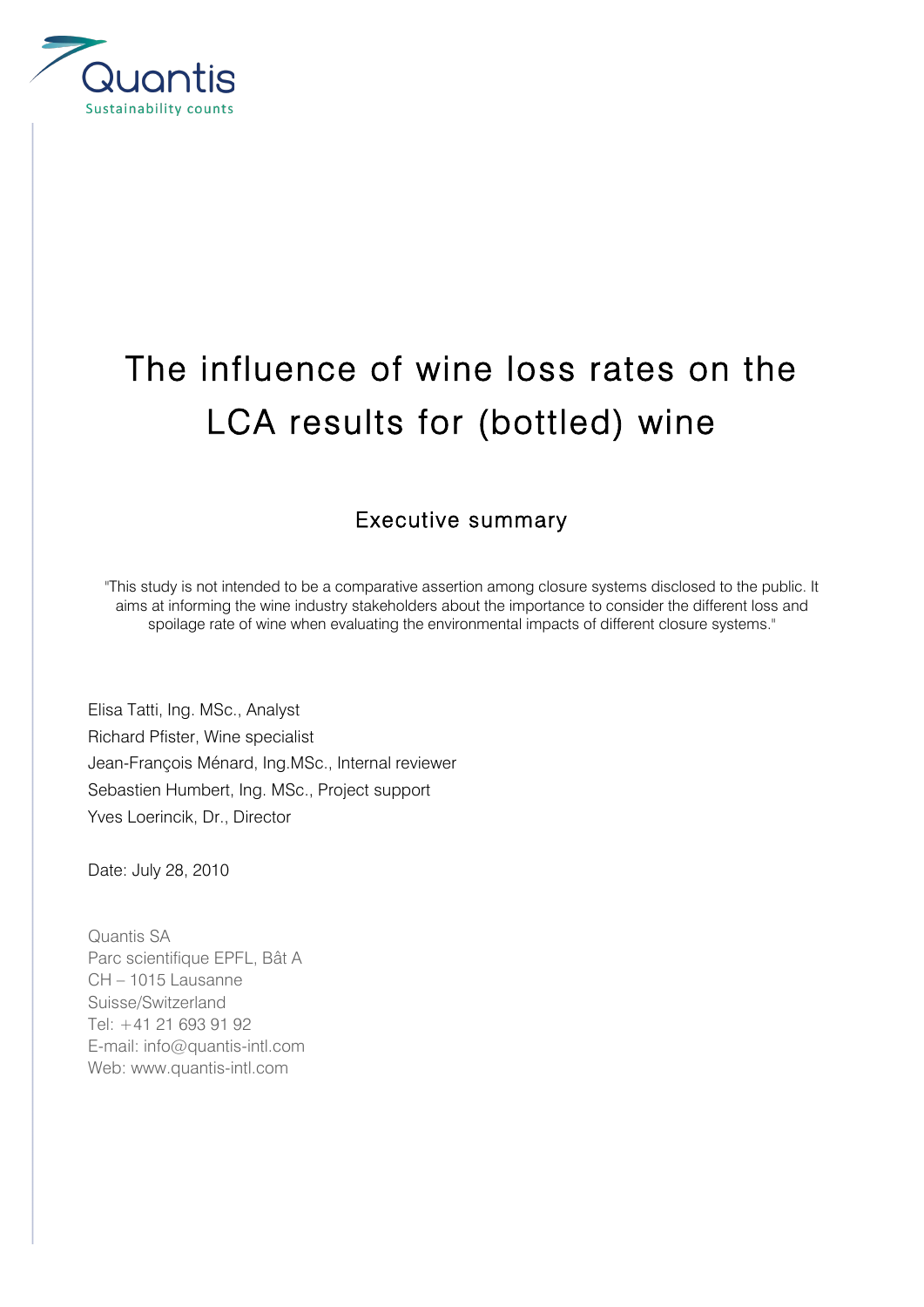

## The influence of wine loss rates on the LCA results for (bottled) wine

## Executive summary

"This study is not intended to be a comparative assertion among closure systems disclosed to the public. It aims at informing the wine industry stakeholders about the importance to consider the different loss and spoilage rate of wine when evaluating the environmental impacts of different closure systems."

Elisa Tatti, Ing. MSc., Analyst Richard Pfister, Wine specialist Jean-François Ménard, Ing.MSc., Internal reviewer Sebastien Humbert, Ing. MSc., Project support Yves Loerincik, Dr., Director

Date: July 28, 2010

Quantis SA Parc scientifique EPFL, Bât A CH – 1015 Lausanne Suisse/Switzerland Tel: +41 21 693 91 92 E-mail: info@quantis-intl.com Web: www.quantis-intl.com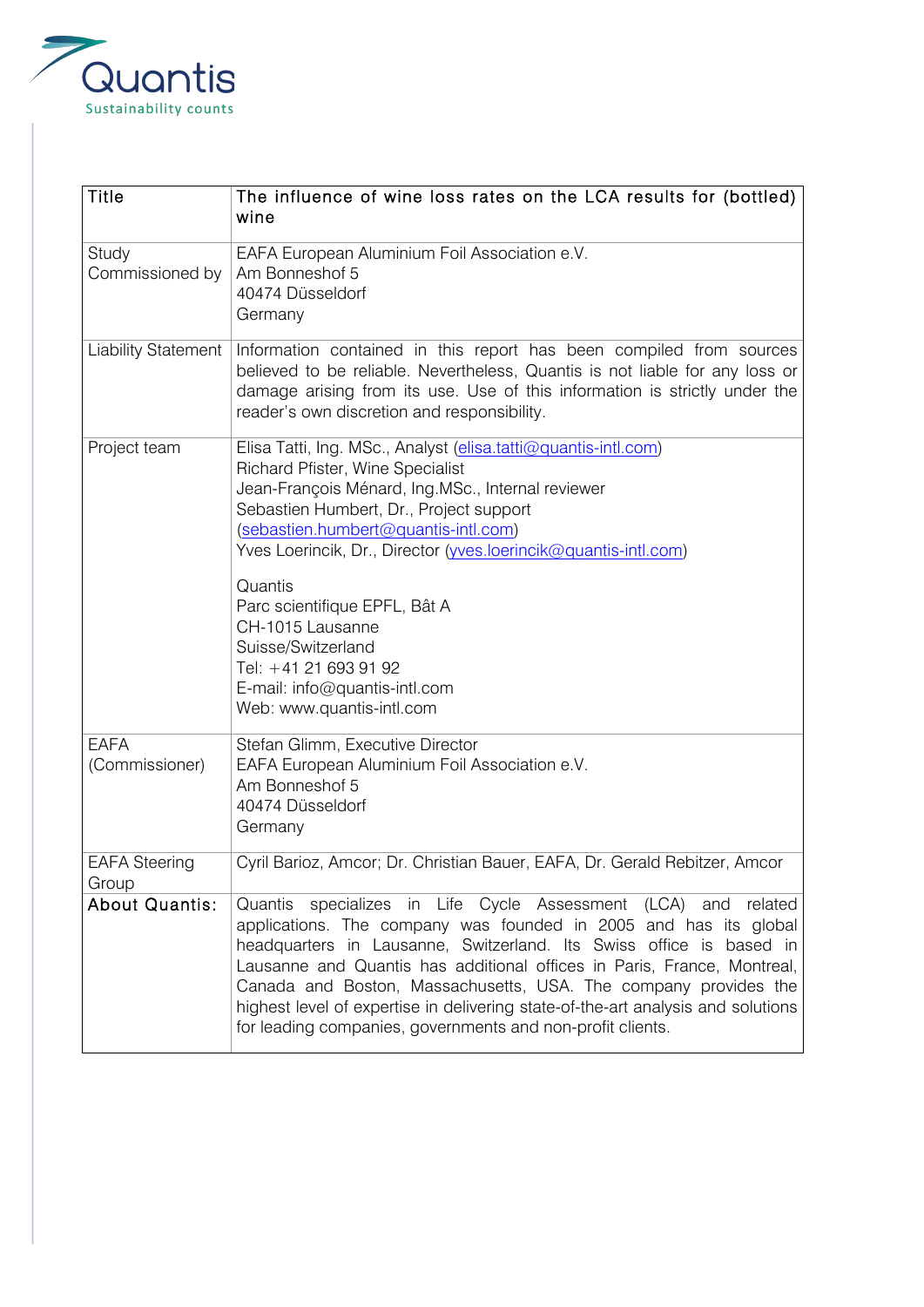

| <b>Title</b>                  | The influence of wine loss rates on the LCA results for (bottled)<br>wine                                                                                                                                                                                                                                                                                                                                                                                                                                 |
|-------------------------------|-----------------------------------------------------------------------------------------------------------------------------------------------------------------------------------------------------------------------------------------------------------------------------------------------------------------------------------------------------------------------------------------------------------------------------------------------------------------------------------------------------------|
| Study<br>Commissioned by      | EAFA European Aluminium Foil Association e.V.<br>Am Bonneshof 5<br>40474 Düsseldorf<br>Germany                                                                                                                                                                                                                                                                                                                                                                                                            |
| <b>Liability Statement</b>    | Information contained in this report has been compiled from sources<br>believed to be reliable. Nevertheless, Quantis is not liable for any loss or<br>damage arising from its use. Use of this information is strictly under the<br>reader's own discretion and responsibility.                                                                                                                                                                                                                          |
| Project team                  | Elisa Tatti, Ing. MSc., Analyst (elisa.tatti@quantis-intl.com)<br>Richard Pfister, Wine Specialist<br>Jean-François Ménard, Ing.MSc., Internal reviewer<br>Sebastien Humbert, Dr., Project support<br>(sebastien.humbert@quantis-intl.com)<br>Yves Loerincik, Dr., Director (wes.loerincik@quantis-intl.com)<br>Quantis<br>Parc scientifique EPFL, Bât A<br>CH-1015 Lausanne<br>Suisse/Switzerland<br>Tel: +41 21 693 91 92<br>E-mail: info@quantis-intl.com<br>Web: www.quantis-intl.com                 |
| <b>EAFA</b><br>(Commissioner) | Stefan Glimm, Executive Director<br>EAFA European Aluminium Foil Association e.V.<br>Am Bonneshof 5<br>40474 Düsseldorf<br>Germany                                                                                                                                                                                                                                                                                                                                                                        |
| <b>EAFA Steering</b><br>Group | Cyril Barioz, Amcor; Dr. Christian Bauer, EAFA, Dr. Gerald Rebitzer, Amcor                                                                                                                                                                                                                                                                                                                                                                                                                                |
| <b>About Quantis:</b>         | Quantis specializes in Life Cycle Assessment (LCA) and related<br>applications. The company was founded in 2005 and has its global<br>headquarters in Lausanne, Switzerland. Its Swiss office is based in<br>Lausanne and Quantis has additional offices in Paris, France, Montreal,<br>Canada and Boston, Massachusetts, USA. The company provides the<br>highest level of expertise in delivering state-of-the-art analysis and solutions<br>for leading companies, governments and non-profit clients. |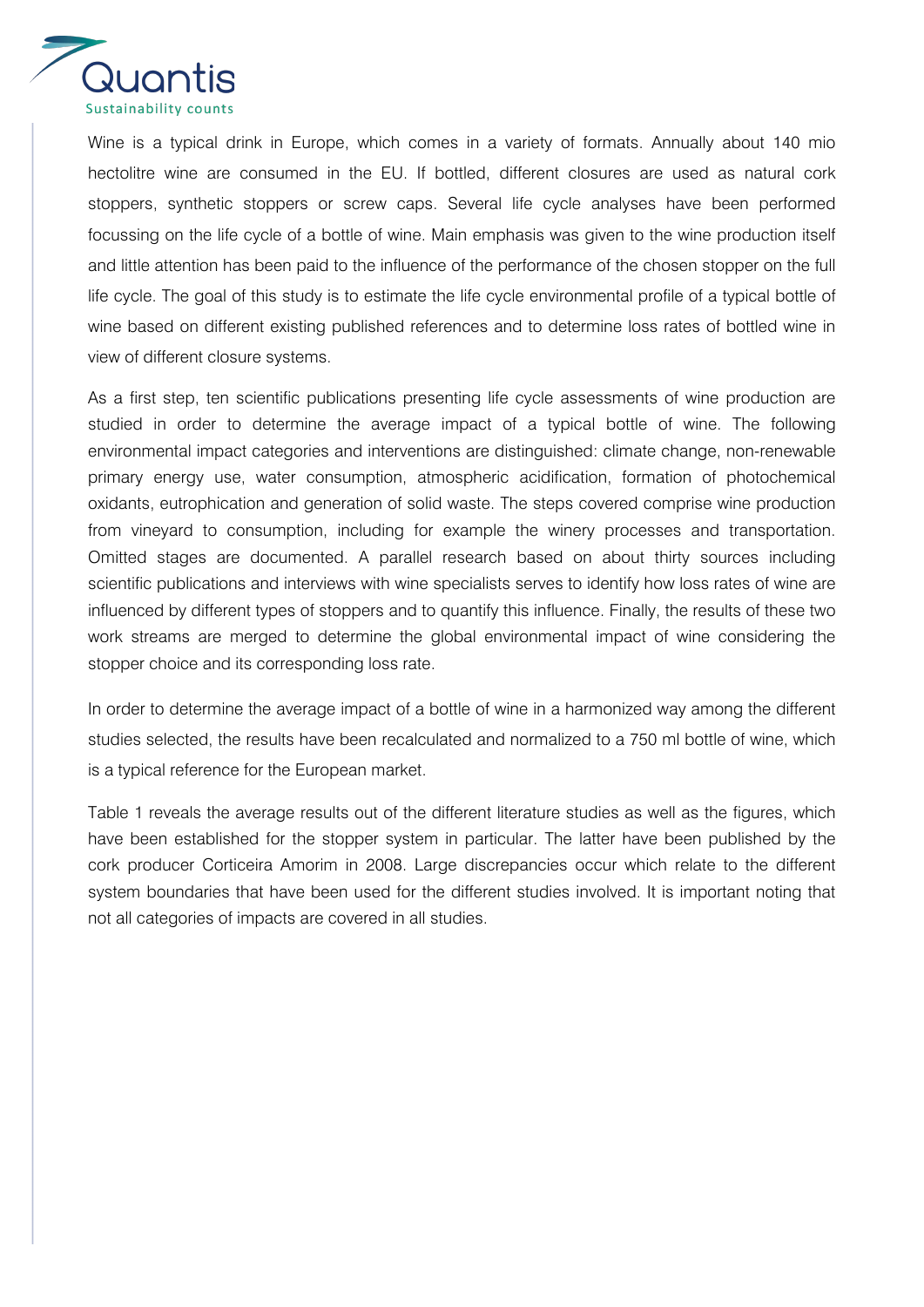

Wine is a typical drink in Europe, which comes in a variety of formats. Annually about 140 mio hectolitre wine are consumed in the EU. If bottled, different closures are used as natural cork stoppers, synthetic stoppers or screw caps. Several life cycle analyses have been performed focussing on the life cycle of a bottle of wine. Main emphasis was given to the wine production itself and little attention has been paid to the influence of the performance of the chosen stopper on the full life cycle. The goal of this study is to estimate the life cycle environmental profile of a typical bottle of wine based on different existing published references and to determine loss rates of bottled wine in view of different closure systems.

As a first step, ten scientific publications presenting life cycle assessments of wine production are studied in order to determine the average impact of a typical bottle of wine. The following environmental impact categories and interventions are distinguished: climate change, non-renewable primary energy use, water consumption, atmospheric acidification, formation of photochemical oxidants, eutrophication and generation of solid waste. The steps covered comprise wine production from vineyard to consumption, including for example the winery processes and transportation. Omitted stages are documented. A parallel research based on about thirty sources including scientific publications and interviews with wine specialists serves to identify how loss rates of wine are influenced by different types of stoppers and to quantify this influence. Finally, the results of these two work streams are merged to determine the global environmental impact of wine considering the stopper choice and its corresponding loss rate.

In order to determine the average impact of a bottle of wine in a harmonized way among the different studies selected, the results have been recalculated and normalized to a 750 ml bottle of wine, which is a typical reference for the European market.

Table 1 reveals the average results out of the different literature studies as well as the figures, which have been established for the stopper system in particular. The latter have been published by the cork producer Corticeira Amorim in 2008. Large discrepancies occur which relate to the different system boundaries that have been used for the different studies involved. It is important noting that not all categories of impacts are covered in all studies.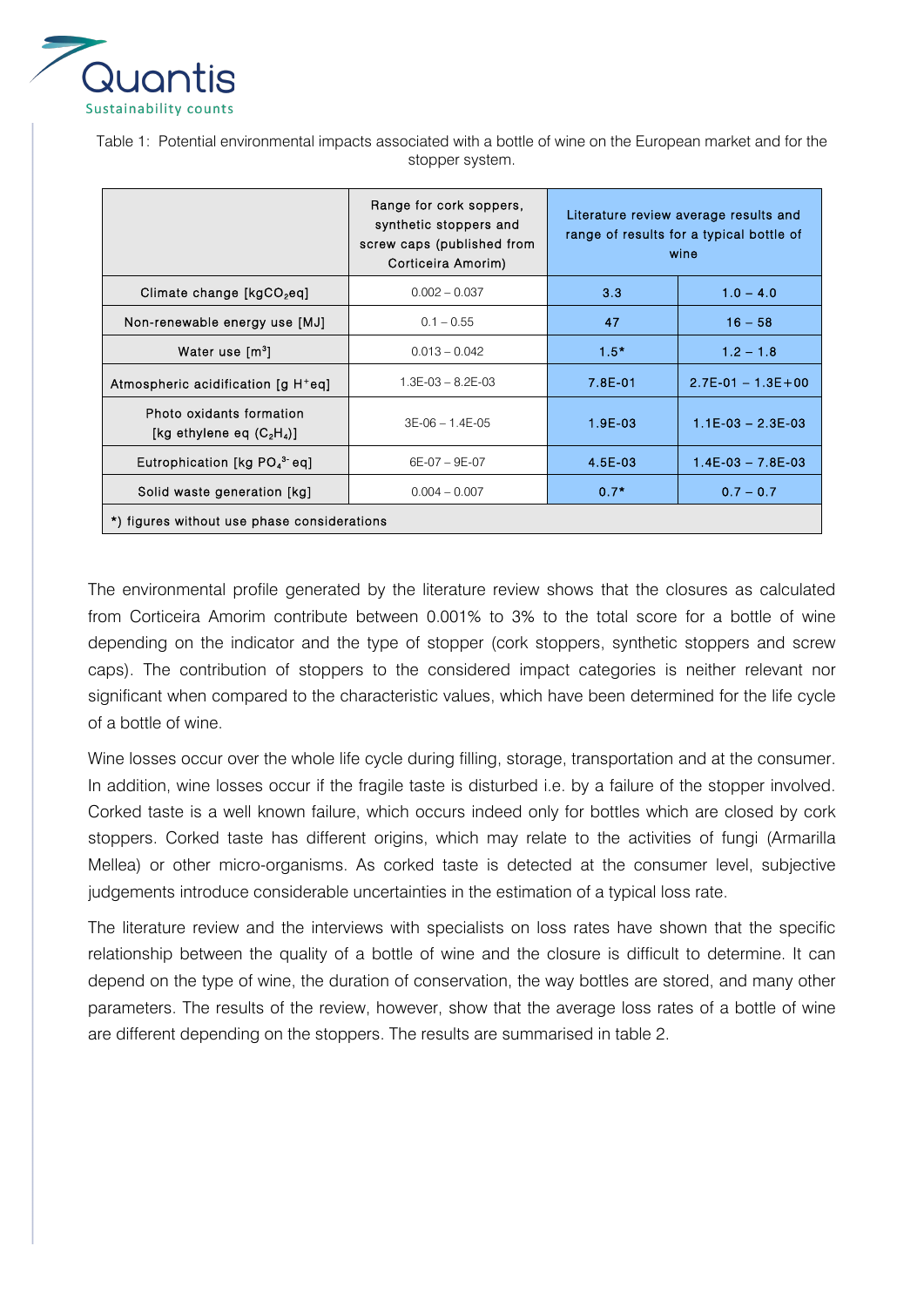

Table 1: Potential environmental impacts associated with a bottle of wine on the European market and for the stopper system.

|                                                          | Range for cork soppers,<br>synthetic stoppers and<br>screw caps (published from<br>Corticeira Amorim) | Literature review average results and<br>range of results for a typical bottle of<br>wine |                         |  |  |
|----------------------------------------------------------|-------------------------------------------------------------------------------------------------------|-------------------------------------------------------------------------------------------|-------------------------|--|--|
| Climate change [kgCO <sub>2</sub> eq]                    | $0.002 - 0.037$                                                                                       | 3.3                                                                                       | $1.0 - 4.0$             |  |  |
| Non-renewable energy use [MJ]                            | $0.1 - 0.55$                                                                                          | 47                                                                                        | $16 - 58$               |  |  |
| Water use [m <sup>3</sup> ]                              | $0.013 - 0.042$                                                                                       | $1.5 -$                                                                                   | $1.2 - 1.8$             |  |  |
| Atmospheric acidification [g H+eq]                       | $1.3E-03 - 8.2E-03$                                                                                   | 7.8E-01                                                                                   | $2.7E - 01 - 1.3E + 00$ |  |  |
| Photo oxidants formation<br>[kg ethylene eq $(C_2H_4)$ ] | $3E-06 - 1.4E-05$                                                                                     | $1.9E-03$                                                                                 | $1.1E-03 - 2.3E-03$     |  |  |
| Eutrophication [kg PO <sub>4</sub> <sup>3</sup> eq]      | $6E-07 - 9E-07$                                                                                       | 4.5E-03                                                                                   | $1.4E-03 - 7.8E-03$     |  |  |
| Solid waste generation [kg]                              | $0.004 - 0.007$                                                                                       | $0.7*$                                                                                    | $0.7 - 0.7$             |  |  |
| *) figures without use phase considerations              |                                                                                                       |                                                                                           |                         |  |  |

The environmental profile generated by the literature review shows that the closures as calculated from Corticeira Amorim contribute between 0.001% to 3% to the total score for a bottle of wine depending on the indicator and the type of stopper (cork stoppers, synthetic stoppers and screw caps). The contribution of stoppers to the considered impact categories is neither relevant nor significant when compared to the characteristic values, which have been determined for the life cycle of a bottle of wine.

Wine losses occur over the whole life cycle during filling, storage, transportation and at the consumer. In addition, wine losses occur if the fragile taste is disturbed i.e. by a failure of the stopper involved. Corked taste is a well known failure, which occurs indeed only for bottles which are closed by cork stoppers. Corked taste has different origins, which may relate to the activities of fungi (Armarilla Mellea) or other micro-organisms. As corked taste is detected at the consumer level, subjective judgements introduce considerable uncertainties in the estimation of a typical loss rate.

The literature review and the interviews with specialists on loss rates have shown that the specific relationship between the quality of a bottle of wine and the closure is difficult to determine. It can depend on the type of wine, the duration of conservation, the way bottles are stored, and many other parameters. The results of the review, however, show that the average loss rates of a bottle of wine are different depending on the stoppers. The results are summarised in table 2.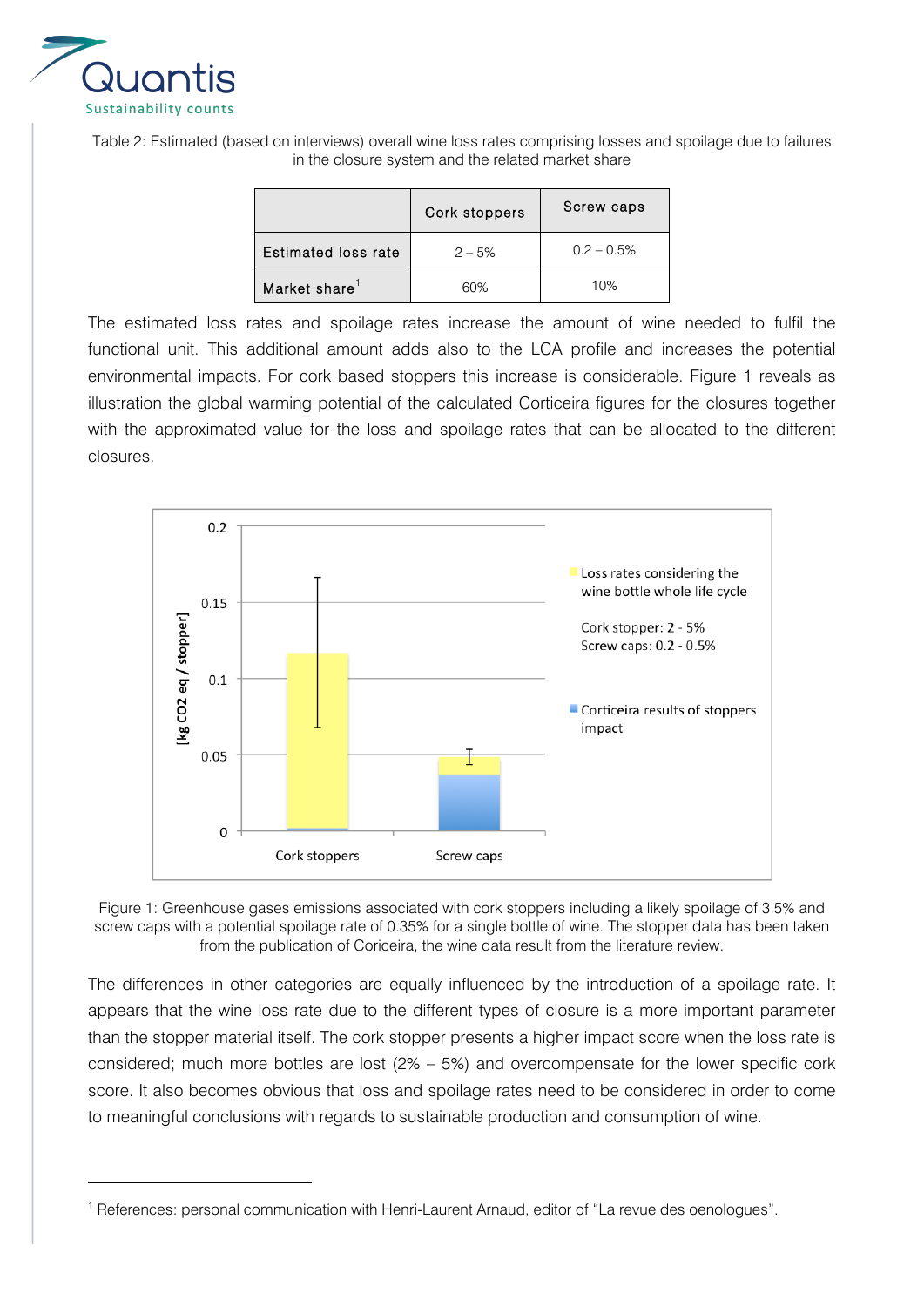

 $\overline{a}$ 

Table 2: Estimated (based on interviews) overall wine loss rates comprising losses and spoilage due to failures in the closure system and the related market share

|                            | Cork stoppers | Screw caps   |
|----------------------------|---------------|--------------|
| <b>Estimated loss rate</b> | $2 - 5%$      | $0.2 - 0.5%$ |
| Market share <sup>1</sup>  | 60%           | 10%          |

The estimated loss rates and spoilage rates increase the amount of wine needed to fulfil the functional unit. This additional amount adds also to the LCA profile and increases the potential environmental impacts. For cork based stoppers this increase is considerable. Figure 1 reveals as illustration the global warming potential of the calculated Corticeira figures for the closures together with the approximated value for the loss and spoilage rates that can be allocated to the different closures.





The differences in other categories are equally influenced by the introduction of a spoilage rate. It appears that the wine loss rate due to the different types of closure is a more important parameter than the stopper material itself. The cork stopper presents a higher impact score when the loss rate is considered; much more bottles are lost  $(2\% - 5\%)$  and overcompensate for the lower specific cork score. It also becomes obvious that loss and spoilage rates need to be considered in order to come to meaningful conclusions with regards to sustainable production and consumption of wine.

<sup>&</sup>lt;sup>1</sup> References: personal communication with Henri-Laurent Arnaud, editor of "La revue des oenologues".